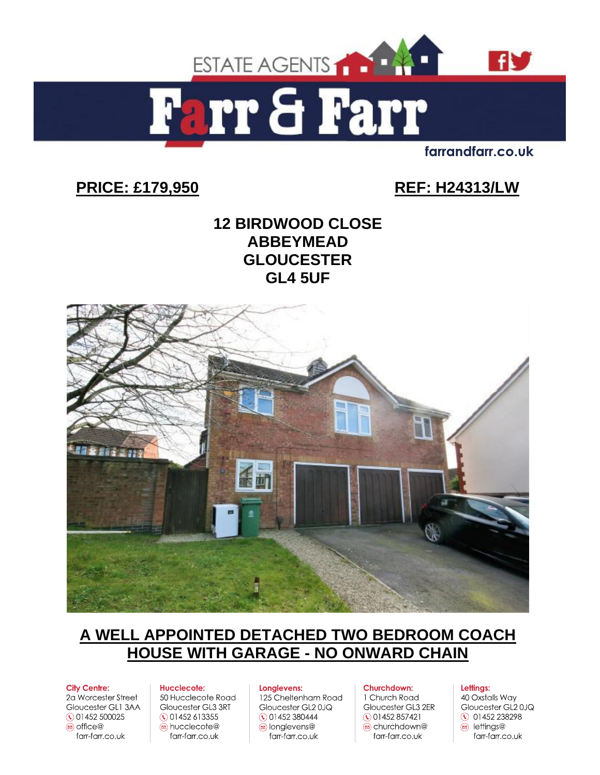

rr & Farr  $\mathbf{a}$ 

farrandfarr.co.uk

# **PRICE: £179,950 REF: H24313/LW**

# **12 BIRDWOOD CLOSE ABBEYMEAD GLOUCESTER GL4 5UF**



# **A WELL APPOINTED DETACHED TWO BEDROOM COACH HOUSE WITH GARAGE - NO ONWARD CHAIN**

#### **City Centre:**

2a Worcester Street Gloucester GL1 3AA ① 01452 500025  $\ddot{\text{m}}$  office $\textcircled{a}$ farr-farr.co.uk

## Hucclecote:

50 Hucclecote Road Gloucester GL3 3RT ◯ 01452 613355 a hucclecote@ farr-farr.co.uk

#### Longlevens:

125 Cheltenham Road Gloucester GL20JQ  $\circ$  01452 380444 o longlevens@ farr-farr.co.uk

#### Churchdown:

1 Church Road Gloucester GL3 2ER  $\circ$  01452 857421 churchdown@ farr-farr.co.uk

#### Lettings:

40 Oxstalls Way Gloucester GL20JQ ◯ 01452 238298 a lettings@ farr-farr.co.uk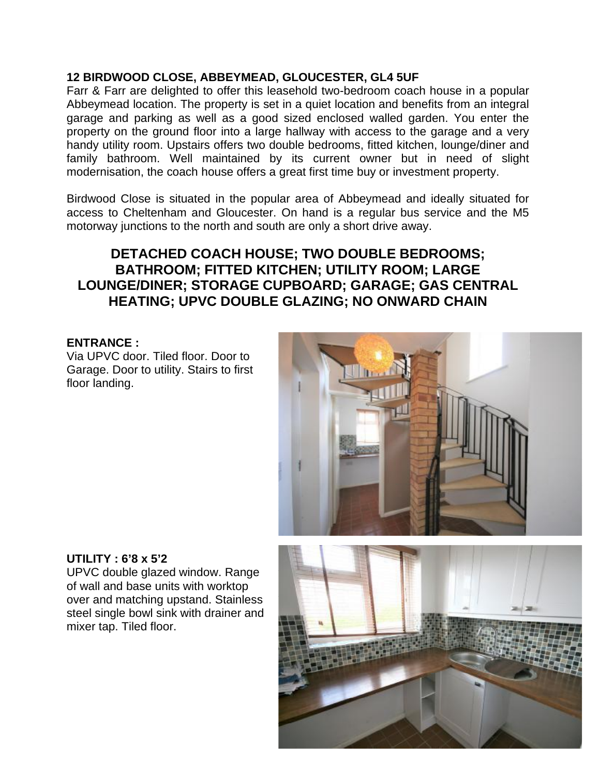#### **12 BIRDWOOD CLOSE, ABBEYMEAD, GLOUCESTER, GL4 5UF**

Farr & Farr are delighted to offer this leasehold two-bedroom coach house in a popular Abbeymead location. The property is set in a quiet location and benefits from an integral garage and parking as well as a good sized enclosed walled garden. You enter the property on the ground floor into a large hallway with access to the garage and a very handy utility room. Upstairs offers two double bedrooms, fitted kitchen, lounge/diner and family bathroom. Well maintained by its current owner but in need of slight modernisation, the coach house offers a great first time buy or investment property.

Birdwood Close is situated in the popular area of Abbeymead and ideally situated for access to Cheltenham and Gloucester. On hand is a regular bus service and the M5 motorway junctions to the north and south are only a short drive away.

# **DETACHED COACH HOUSE; TWO DOUBLE BEDROOMS; BATHROOM; FITTED KITCHEN; UTILITY ROOM; LARGE LOUNGE/DINER; STORAGE CUPBOARD; GARAGE; GAS CENTRAL HEATING; UPVC DOUBLE GLAZING; NO ONWARD CHAIN**

#### **ENTRANCE :**

Via UPVC door. Tiled floor. Door to Garage. Door to utility. Stairs to first floor landing.



#### **UTILITY : 6'8 x 5'2**

UPVC double glazed window. Range of wall and base units with worktop over and matching upstand. Stainless steel single bowl sink with drainer and mixer tap. Tiled floor.

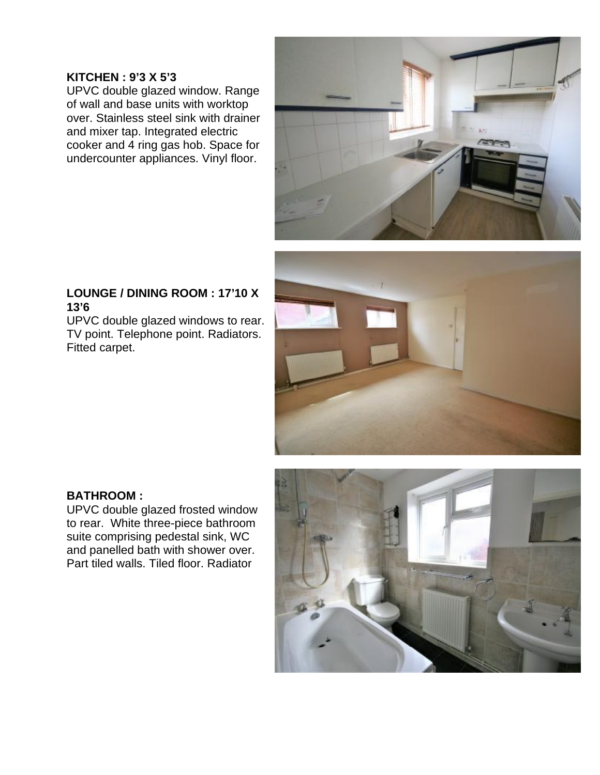#### **KITCHEN : 9'3 X 5'3**

UPVC double glazed window. Range of wall and base units with worktop over. Stainless steel sink with drainer and mixer tap. Integrated electric cooker and 4 ring gas hob. Space for undercounter appliances. Vinyl floor.



## **LOUNGE / DINING ROOM : 17'10 X 13'6**

UPVC double glazed windows to rear. TV point. Telephone point. Radiators. Fitted carpet.



## **BATHROOM :**

UPVC double glazed frosted window to rear. White three-piece bathroom suite comprising pedestal sink, WC and panelled bath with shower over. Part tiled walls. Tiled floor. Radiator

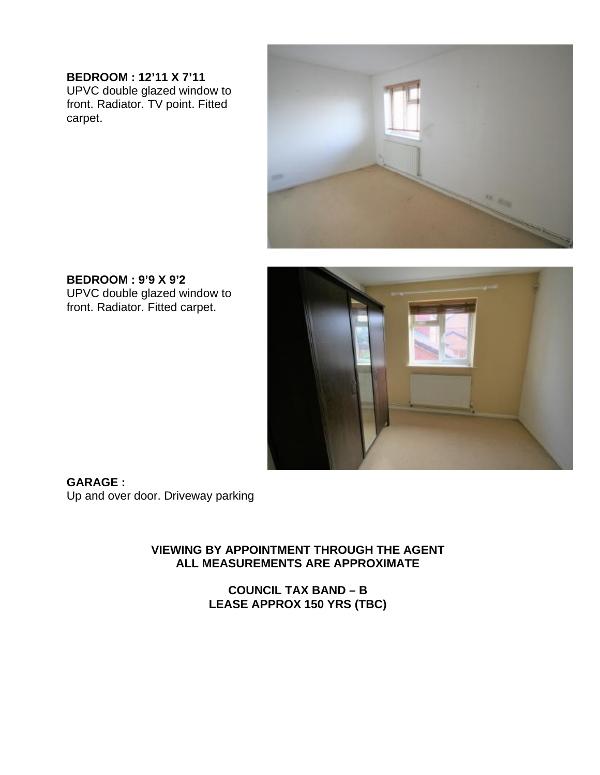**BEDROOM : 12'11 X 7'11**  UPVC double glazed window to front. Radiator. TV point. Fitted carpet.



**BEDROOM : 9'9 X 9'2**  UPVC double glazed window to front. Radiator. Fitted carpet.



**GARAGE :**  Up and over door. Driveway parking

## **VIEWING BY APPOINTMENT THROUGH THE AGENT ALL MEASUREMENTS ARE APPROXIMATE**

**COUNCIL TAX BAND – B LEASE APPROX 150 YRS (TBC)**